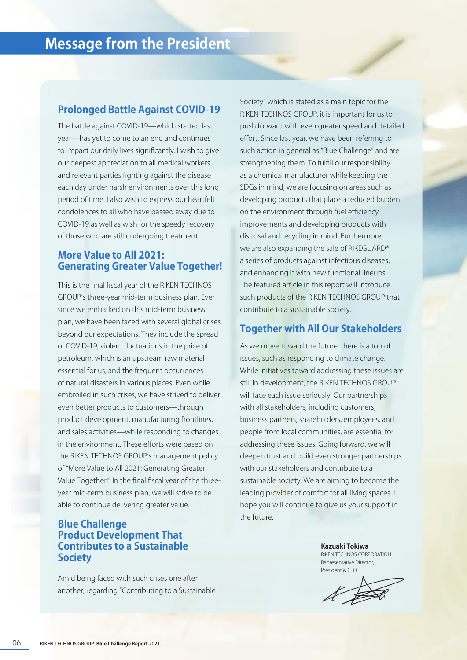#### **Prolonged Battle Against COVID-19**

The battle against COVID-19—which started last year—has yet to come to an end and continues to impact our daily lives significantly. I wish to give our deepest appreciation to all medical workers and relevant parties fighting against the disease each day under harsh environments over this long period of time. I also wish to express our heartfelt condolences to all who have passed away due to COVID-19 as well as wish for the speedy recovery of those who are still undergoing treatment.

### **More Value to All 2021: Generating Greater Value Together!**

This is the final fiscal year of the RIKEN TECHNOS GROUP's three-year mid-term business plan. Ever since we embarked on this mid-term business plan, we have been faced with several global crises beyond our expectations. They include the spread of COVID-19; violent fluctuations in the price of petroleum, which is an upstream raw material essential for us; and the frequent occurrences of natural disasters in various places. Even while embroiled in such crises, we have strived to deliver even better products to customers—through product development, manufacturing frontlines, and sales activities—while responding to changes in the environment. These efforts were based on the RIKEN TECHNOS GROUP's management policy of "More Value to All 2021: Generating Greater Value Together!" In the final fiscal year of the threeyear mid-term business plan, we will strive to be able to continue delivering greater value.

# **Blue Challenge Product Development That Contributes to a Sustainable Society**

Amid being faced with such crises one after another, regarding "Contributing to a Sustainable Society" which is stated as a main topic for the RIKEN TECHNOS GROUP, it is important for us to push forward with even greater speed and detailed effort. Since last year, we have been referring to such action in general as "Blue Challenge" and are strengthening them. To fulfill our responsibility as a chemical manufacturer while keeping the SDGs in mind, we are focusing on areas such as developing products that place a reduced burden on the environment through fuel efficiency improvements and developing products with disposal and recycling in mind. Furthermore, we are also expanding the sale of RIKEGUARD®, a series of products against infectious diseases, and enhancing it with new functional lineups. The featured article in this report will introduce such products of the RIKEN TECHNOS GROUP that contribute to a sustainable society.

# **Together with All Our Stakeholders**

As we move toward the future, there is a ton of issues, such as responding to climate change. While initiatives toward addressing these issues are still in development, the RIKEN TECHNOS GROUP will face each issue seriously. Our partnerships with all stakeholders, including customers, business partners, shareholders, employees, and people from local communities, are essential for addressing these issues. Going forward, we will deepen trust and build even stronger partnerships with our stakeholders and contribute to a sustainable society. We are aiming to become the leading provider of comfort for all living spaces. I hope you will continue to give us your support in the future.

> **Kazuaki Tokiwa** RIKEN TECHNOS CORPORATION Representative Director, President & CEO